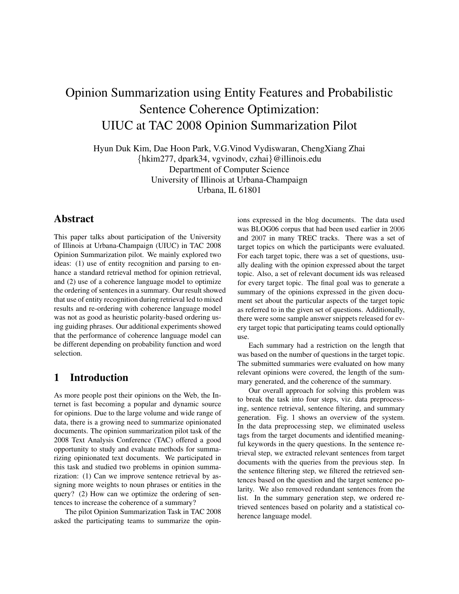# Opinion Summarization using Entity Features and Probabilistic Sentence Coherence Optimization: UIUC at TAC 2008 Opinion Summarization Pilot

Hyun Duk Kim, Dae Hoon Park, V.G.Vinod Vydiswaran, ChengXiang Zhai {hkim277, dpark34, vgvinodv, czhai}@illinois.edu Department of Computer Science University of Illinois at Urbana-Champaign Urbana, IL 61801

# Abstract

This paper talks about participation of the University of Illinois at Urbana-Champaign (UIUC) in TAC 2008 Opinion Summarization pilot. We mainly explored two ideas: (1) use of entity recognition and parsing to enhance a standard retrieval method for opinion retrieval, and (2) use of a coherence language model to optimize the ordering of sentences in a summary. Our result showed that use of entity recognition during retrieval led to mixed results and re-ordering with coherence language model was not as good as heuristic polarity-based ordering using guiding phrases. Our additional experiments showed that the performance of coherence language model can be different depending on probability function and word selection.

## 1 Introduction

As more people post their opinions on the Web, the Internet is fast becoming a popular and dynamic source for opinions. Due to the large volume and wide range of data, there is a growing need to summarize opinionated documents. The opinion summarization pilot task of the 2008 Text Analysis Conference (TAC) offered a good opportunity to study and evaluate methods for summarizing opinionated text documents. We participated in this task and studied two problems in opinion summarization: (1) Can we improve sentence retrieval by assigning more weights to noun phrases or entities in the query? (2) How can we optimize the ordering of sentences to increase the coherence of a summary?

The pilot Opinion Summarization Task in TAC 2008 asked the participating teams to summarize the opinions expressed in the blog documents. The data used was BLOG06 corpus that had been used earlier in 2006 and 2007 in many TREC tracks. There was a set of target topics on which the participants were evaluated. For each target topic, there was a set of questions, usually dealing with the opinion expressed about the target topic. Also, a set of relevant document ids was released for every target topic. The final goal was to generate a summary of the opinions expressed in the given document set about the particular aspects of the target topic as referred to in the given set of questions. Additionally, there were some sample answer snippets released for every target topic that participating teams could optionally use.

Each summary had a restriction on the length that was based on the number of questions in the target topic. The submitted summaries were evaluated on how many relevant opinions were covered, the length of the summary generated, and the coherence of the summary.

Our overall approach for solving this problem was to break the task into four steps, viz. data preprocessing, sentence retrieval, sentence filtering, and summary generation. Fig. 1 shows an overview of the system. In the data preprocessing step, we eliminated useless tags from the target documents and identified meaningful keywords in the query questions. In the sentence retrieval step, we extracted relevant sentences from target documents with the queries from the previous step. In the sentence filtering step, we filtered the retrieved sentences based on the question and the target sentence polarity. We also removed redundant sentences from the list. In the summary generation step, we ordered retrieved sentences based on polarity and a statistical coherence language model.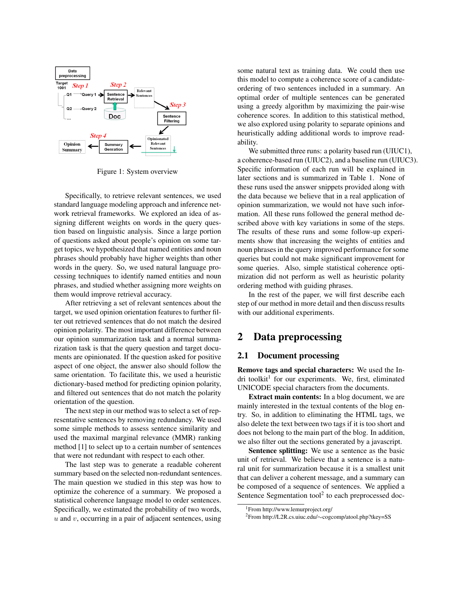

Figure 1: System overview

Specifically, to retrieve relevant sentences, we used standard language modeling approach and inference network retrieval frameworks. We explored an idea of assigning different weights on words in the query question based on linguistic analysis. Since a large portion of questions asked about people's opinion on some target topics, we hypothesized that named entities and noun phrases should probably have higher weights than other words in the query. So, we used natural language processing techniques to identify named entities and noun phrases, and studied whether assigning more weights on them would improve retrieval accuracy.

After retrieving a set of relevant sentences about the target, we used opinion orientation features to further filter out retrieved sentences that do not match the desired opinion polarity. The most important difference between our opinion summarization task and a normal summarization task is that the query question and target documents are opinionated. If the question asked for positive aspect of one object, the answer also should follow the same orientation. To facilitate this, we used a heuristic dictionary-based method for predicting opinion polarity, and filtered out sentences that do not match the polarity orientation of the question.

The next step in our method was to select a set of representative sentences by removing redundancy. We used some simple methods to assess sentence similarity and used the maximal marginal relevance (MMR) ranking method [1] to select up to a certain number of sentences that were not redundant with respect to each other.

The last step was to generate a readable coherent summary based on the selected non-redundant sentences. The main question we studied in this step was how to optimize the coherence of a summary. We proposed a statistical coherence language model to order sentences. Specifically, we estimated the probability of two words,  $u$  and  $v$ , occurring in a pair of adjacent sentences, using

some natural text as training data. We could then use this model to compute a coherence score of a candidateordering of two sentences included in a summary. An optimal order of multiple sentences can be generated using a greedy algorithm by maximizing the pair-wise coherence scores. In addition to this statistical method, we also explored using polarity to separate opinions and heuristically adding additional words to improve readability.

We submitted three runs: a polarity based run (UIUC1), a coherence-based run (UIUC2), and a baseline run (UIUC3). Specific information of each run will be explained in later sections and is summarized in Table 1. None of these runs used the answer snippets provided along with the data because we believe that in a real application of opinion summarization, we would not have such information. All these runs followed the general method described above with key variations in some of the steps. The results of these runs and some follow-up experiments show that increasing the weights of entities and noun phrases in the query improved performance for some queries but could not make significant improvement for some queries. Also, simple statistical coherence optimization did not perform as well as heuristic polarity ordering method with guiding phrases.

In the rest of the paper, we will first describe each step of our method in more detail and then discuss results with our additional experiments.

### 2 Data preprocessing

#### 2.1 Document processing

Remove tags and special characters: We used the Indri toolkit<sup>1</sup> for our experiments. We, first, eliminated UNICODE special characters from the documents.

Extract main contents: In a blog document, we are mainly interested in the textual contents of the blog entry. So, in addition to eliminating the HTML tags, we also delete the text between two tags if it is too short and does not belong to the main part of the blog. In addition, we also filter out the sections generated by a javascript.

Sentence splitting: We use a sentence as the basic unit of retrieval. We believe that a sentence is a natural unit for summarization because it is a smallest unit that can deliver a coherent message, and a summary can be composed of a sequence of sentences. We applied a Sentence Segmentation tool<sup>2</sup> to each preprocessed doc-

<sup>1</sup>From http://www.lemurproject.org/

<sup>2</sup>From http://L2R.cs.uiuc.edu/∼cogcomp/atool.php?tkey=SS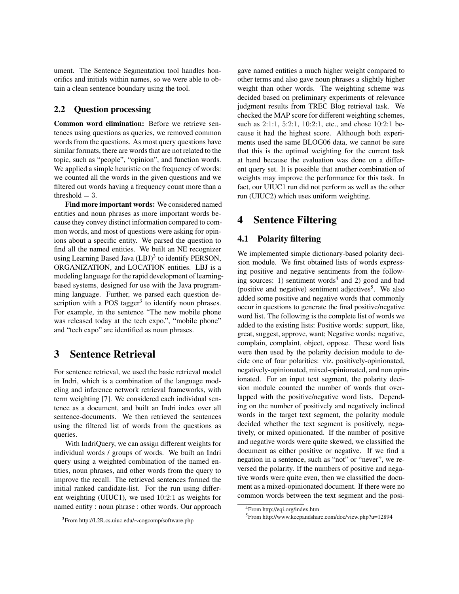ument. The Sentence Segmentation tool handles honorifics and initials within names, so we were able to obtain a clean sentence boundary using the tool.

### 2.2 Question processing

Common word elimination: Before we retrieve sentences using questions as queries, we removed common words from the questions. As most query questions have similar formats, there are words that are not related to the topic, such as "people", "opinion", and function words. We applied a simple heuristic on the frequency of words: we counted all the words in the given questions and we filtered out words having a frequency count more than a threshold  $= 3$ .

Find more important words: We considered named entities and noun phrases as more important words because they convey distinct information compared to common words, and most of questions were asking for opinions about a specific entity. We parsed the question to find all the named entities. We built an NE recognizer using Learning Based Java (LBJ)<sup>3</sup> to identify PERSON, ORGANIZATION, and LOCATION entities. LBJ is a modeling language for the rapid development of learningbased systems, designed for use with the Java programming language. Further, we parsed each question description with a POS tagger<sup>3</sup> to identify noun phrases. For example, in the sentence "The new mobile phone was released today at the tech expo.", "mobile phone" and "tech expo" are identified as noun phrases.

## 3 Sentence Retrieval

For sentence retrieval, we used the basic retrieval model in Indri, which is a combination of the language modeling and inference network retrieval frameworks, with term weighting [7]. We considered each individual sentence as a document, and built an Indri index over all sentence-documents. We then retrieved the sentences using the filtered list of words from the questions as queries.

With IndriQuery, we can assign different weights for individual words / groups of words. We built an Indri query using a weighted combination of the named entities, noun phrases, and other words from the query to improve the recall. The retrieved sentences formed the initial ranked candidate-list. For the run using different weighting (UIUC1), we used 10:2:1 as weights for named entity : noun phrase : other words. Our approach

gave named entities a much higher weight compared to other terms and also gave noun phrases a slightly higher weight than other words. The weighting scheme was decided based on preliminary experiments of relevance judgment results from TREC Blog retrieval task. We checked the MAP score for different weighting schemes, such as 2:1:1, 5:2:1, 10:2:1, etc., and chose 10:2:1 because it had the highest score. Although both experiments used the same BLOG06 data, we cannot be sure that this is the optimal weighting for the current task at hand because the evaluation was done on a different query set. It is possible that another combination of weights may improve the performance for this task. In fact, our UIUC1 run did not perform as well as the other run (UIUC2) which uses uniform weighting.

## 4 Sentence Filtering

### 4.1 Polarity filtering

We implemented simple dictionary-based polarity decision module. We first obtained lists of words expressing positive and negative sentiments from the following sources: 1) sentiment words<sup>4</sup> and 2) good and bad (positive and negative) sentiment adjectives<sup>5</sup>. We also added some positive and negative words that commonly occur in questions to generate the final positive/negative word list. The following is the complete list of words we added to the existing lists: Positive words: support, like, great, suggest, approve, want; Negative words: negative, complain, complaint, object, oppose. These word lists were then used by the polarity decision module to decide one of four polarities: viz. positively-opinionated, negatively-opinionated, mixed-opinionated, and non opinionated. For an input text segment, the polarity decision module counted the number of words that overlapped with the positive/negative word lists. Depending on the number of positively and negatively inclined words in the target text segment, the polarity module decided whether the text segment is positively, negatively, or mixed opinionated. If the number of positive and negative words were quite skewed, we classified the document as either positive or negative. If we find a negation in a sentence, such as "not" or "never", we reversed the polarity. If the numbers of positive and negative words were quite even, then we classified the document as a mixed-opinionated document. If there were no common words between the text segment and the posi-

<sup>3</sup>From http://L2R.cs.uiuc.edu/∼cogcomp/software.php

<sup>4</sup>From http://eqi.org/index.htm

<sup>5</sup>From http://www.keepandshare.com/doc/view.php?u=12894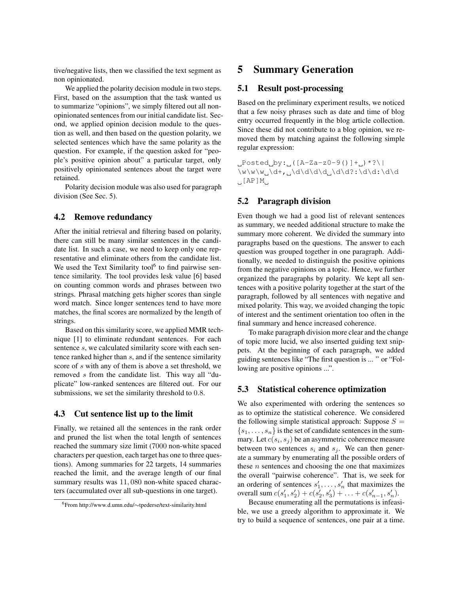tive/negative lists, then we classified the text segment as non opinionated.

We applied the polarity decision module in two steps. First, based on the assumption that the task wanted us to summarize "opinions", we simply filtered out all nonopinionated sentences from our initial candidate list. Second, we applied opinion decision module to the question as well, and then based on the question polarity, we selected sentences which have the same polarity as the question. For example, if the question asked for "people's positive opinion about" a particular target, only positively opinionated sentences about the target were retained.

Polarity decision module was also used for paragraph division (See Sec. 5).

#### 4.2 Remove redundancy

After the initial retrieval and filtering based on polarity, there can still be many similar sentences in the candidate list. In such a case, we need to keep only one representative and eliminate others from the candidate list. We used the Text Similarity tool<sup>6</sup> to find pairwise sentence similarity. The tool provides lesk value [6] based on counting common words and phrases between two strings. Phrasal matching gets higher scores than single word match. Since longer sentences tend to have more matches, the final scores are normalized by the length of strings.

Based on this similarity score, we applied MMR technique [1] to eliminate redundant sentences. For each sentence s, we calculated similarity score with each sentence ranked higher than s, and if the sentence similarity score of s with any of them is above a set threshold, we removed s from the candidate list. This way all "duplicate" low-ranked sentences are filtered out. For our submissions, we set the similarity threshold to 0.8.

#### 4.3 Cut sentence list up to the limit

Finally, we retained all the sentences in the rank order and pruned the list when the total length of sentences reached the summary size limit (7000 non-white spaced characters per question, each target has one to three questions). Among summaries for 22 targets, 14 summaries reached the limit, and the average length of our final summary results was 11, 080 non-white spaced characters (accumulated over all sub-questions in one target).

### 5 Summary Generation

#### 5.1 Result post-processing

Based on the preliminary experiment results, we noticed that a few noisy phrases such as date and time of blog entry occurred frequently in the blog article collection. Since these did not contribute to a blog opinion, we removed them by matching against the following simple regular expression:

 $L$ Posted $_{D}$ by: $_{L}$ ([A-Za-z0-9()]+ $_{L}$ )\*?\|  $\label{eq:1} $$\w\w\w_\ddash,\_ \d\dd\ddash, \d\ddash, \d\ddash, \d\ddash, \d\ddash, \d\ddash, \d\ddash, \d\ddash, \d\ddash, \d\ddash, \d\ddash, \d\ddash, \d\ddash, \d\ddash, \d\ddash, \d\ddash, \d\ddash, \d\ddash, \d\ddash, \d\ddash, \d\ddash, \d\ddash, \d\ddash, \d\ddash, \d\ddash, \d\ddash, \d\ddash, \d\ddash, \d\ddash, \d\ddash, \d\ddash, \d\ddash, \d\ddash, \$  $\Box$ [AP]M $\Box$ 

#### 5.2 Paragraph division

Even though we had a good list of relevant sentences as summary, we needed additional structure to make the summary more coherent. We divided the summary into paragraphs based on the questions. The answer to each question was grouped together in one paragraph. Additionally, we needed to distinguish the positive opinions from the negative opinions on a topic. Hence, we further organized the paragraphs by polarity. We kept all sentences with a positive polarity together at the start of the paragraph, followed by all sentences with negative and mixed polarity. This way, we avoided changing the topic of interest and the sentiment orientation too often in the final summary and hence increased coherence.

To make paragraph division more clear and the change of topic more lucid, we also inserted guiding text snippets. At the beginning of each paragraph, we added guiding sentences like "The first question is ... " or "Following are positive opinions ...".

#### 5.3 Statistical coherence optimization

We also experimented with ordering the sentences so as to optimize the statistical coherence. We considered the following simple statistical approach: Suppose  $S =$  ${s_1, \ldots, s_n}$  is the set of candidate sentences in the summary. Let  $c(s_i, s_j)$  be an asymmetric coherence measure between two sentences  $s_i$  and  $s_j$ . We can then generate a summary by enumerating all the possible orders of these  $n$  sentences and choosing the one that maximizes the overall "pairwise coherence". That is, we seek for an ordering of sentences  $s'_1, \ldots, s'_n$  that maximizes the overall sum  $c(s'_1, s'_2) + c(s'_2, s'_3) + \ldots + c(s'_{n-1}, s'_n)$ .

Because enumerating all the permutations is infeasible, we use a greedy algorithm to approximate it. We try to build a sequence of sentences, one pair at a time.

<sup>6</sup>From http://www.d.umn.edu/∼tpederse/text-similarity.html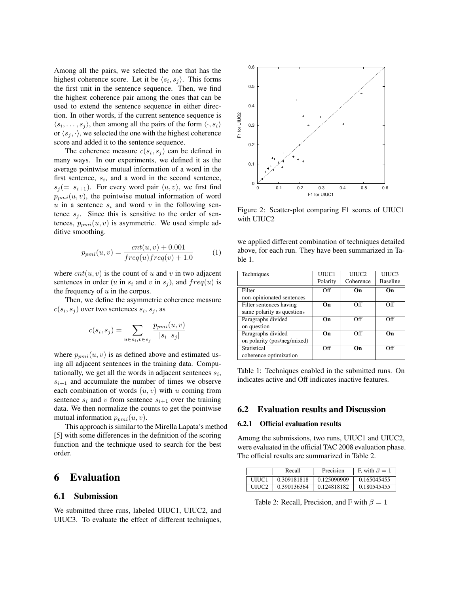Among all the pairs, we selected the one that has the highest coherence score. Let it be  $\langle s_i, s_j \rangle$ . This forms the first unit in the sentence sequence. Then, we find the highest coherence pair among the ones that can be used to extend the sentence sequence in either direction. In other words, if the current sentence sequence is  $\langle s_i, \ldots, s_j \rangle$ , then among all the pairs of the form  $\langle \cdot, s_i \rangle$ or  $\langle s_i, \cdot \rangle$ , we selected the one with the highest coherence score and added it to the sentence sequence.

The coherence measure  $c(s_i, s_j)$  can be defined in many ways. In our experiments, we defined it as the average pointwise mutual information of a word in the first sentence,  $s_i$ , and a word in the second sentence,  $s_i (= s_{i+1})$ . For every word pair  $\langle u, v \rangle$ , we first find  $p_{pmi}(u, v)$ , the pointwise mutual information of word  $u$  in a sentence  $s_i$  and word  $v$  in the following sentence  $s_j$ . Since this is sensitive to the order of sentences,  $p_{pmi}(u, v)$  is asymmetric. We used simple additive smoothing.

$$
p_{pmi}(u,v) = \frac{cnt(u,v) + 0.001}{freq(u)freq(v) + 1.0}
$$
 (1)

where  $cnt(u, v)$  is the count of u and v in two adjacent sentences in order (u in  $s_i$  and v in  $s_j$ ), and  $freq(u)$  is the frequency of  $u$  in the corpus.

Then, we define the asymmetric coherence measure  $c(s_i, s_j)$  over two sentences  $s_i, s_j$ , as

$$
c(s_i, s_j) = \sum_{u \in s_i, v \in s_j} \frac{p_{pmi}(u, v)}{|s_i||s_j|}
$$

where  $p_{pmi}(u, v)$  is as defined above and estimated using all adjacent sentences in the training data. Computationally, we get all the words in adjacent sentences  $s_i$ ,  $s_{i+1}$  and accumulate the number of times we observe each combination of words  $(u, v)$  with u coming from sentence  $s_i$  and v from sentence  $s_{i+1}$  over the training data. We then normalize the counts to get the pointwise mutual information  $p_{nmi}(u, v)$ .

This approach is similar to the Mirella Lapata's method [5] with some differences in the definition of the scoring function and the technique used to search for the best order.

# 6 Evaluation

#### 6.1 Submission

We submitted three runs, labeled UIUC1, UIUC2, and UIUC3. To evaluate the effect of different techniques,



Figure 2: Scatter-plot comparing F1 scores of UIUC1 with UIUC2

we applied different combination of techniques detailed above, for each run. They have been summarized in Table 1.

| Techniques                  | UIUC1    | UIUC <sub>2</sub> | UIUC3           |
|-----------------------------|----------|-------------------|-----------------|
|                             | Polarity | Coherence         | <b>Baseline</b> |
| Filter                      | Off      | On                | On              |
| non-opinionated sentences   |          |                   |                 |
| Filter sentences having     | Оn       | Off               | Off             |
| same polarity as questions  |          |                   |                 |
| Paragraphs divided          | On       | Off               | Off             |
| on question                 |          |                   |                 |
| Paragraphs divided          | On       | Off               | Oп              |
| on polarity (pos/neg/mixed) |          |                   |                 |
| Statistical                 | Off      | Oп                | Off             |
| coherence optimization      |          |                   |                 |

Table 1: Techniques enabled in the submitted runs. On indicates active and Off indicates inactive features.

#### 6.2 Evaluation results and Discussion

#### 6.2.1 Official evaluation results

Among the submissions, two runs, UIUC1 and UIUC2, were evaluated in the official TAC 2008 evaluation phase. The official results are summarized in Table 2.

|       | Recall      | Precision   | F, with $\beta = 1$ |
|-------|-------------|-------------|---------------------|
| UIUC1 | 0.309181818 | 0.125090909 | 0.165045455         |
| UIUC2 | 0.390136364 | 0.124818182 | 0.180545455         |

Table 2: Recall, Precision, and F with  $\beta = 1$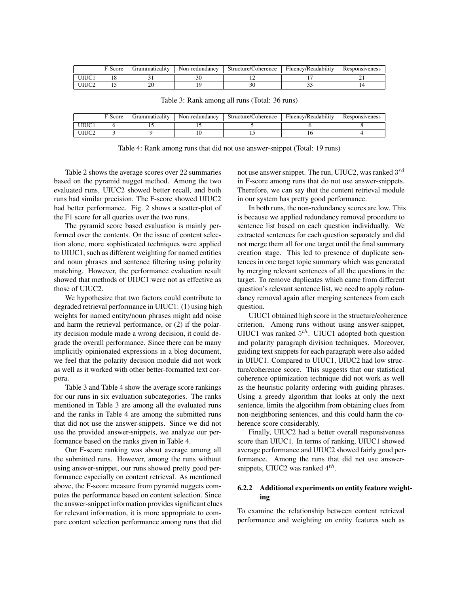|      | F-Score | .irammatıcalıtv | Non-redundancy | Structure/Coherence | Fluency/Readability | Responsiveness |
|------|---------|-----------------|----------------|---------------------|---------------------|----------------|
| UIUC |         |                 |                |                     |                     |                |
|      |         | ີ<br>∠∪         |                | ЭU                  |                     |                |

|  |  |  |  |  | Table 3: Rank among all runs (Total: 36 runs) |  |
|--|--|--|--|--|-----------------------------------------------|--|
|--|--|--|--|--|-----------------------------------------------|--|

|       | F-Score | . irammatıcalıtv | Non-redundancy | Structure/Coherence | Fluency/Readability | Responsiveness |
|-------|---------|------------------|----------------|---------------------|---------------------|----------------|
| UIUC1 |         |                  | . .            |                     |                     |                |
| UIUC2 |         |                  | 1 V            |                     |                     |                |

Table 4: Rank among runs that did not use answer-snippet (Total: 19 runs)

Table 2 shows the average scores over 22 summaries based on the pyramid nugget method. Among the two evaluated runs, UIUC2 showed better recall, and both runs had similar precision. The F-score showed UIUC2 had better performance. Fig. 2 shows a scatter-plot of the F1 score for all queries over the two runs.

The pyramid score based evaluation is mainly performed over the contents. On the issue of content selection alone, more sophisticated techniques were applied to UIUC1, such as different weighting for named entities and noun phrases and sentence filtering using polarity matching. However, the performance evaluation result showed that methods of UIUC1 were not as effective as those of UIUC2.

We hypothesize that two factors could contribute to degraded retrieval performance in UIUC1: (1) using high weights for named entity/noun phrases might add noise and harm the retrieval performance, or (2) if the polarity decision module made a wrong decision, it could degrade the overall performance. Since there can be many implicitly opinionated expressions in a blog document, we feel that the polarity decision module did not work as well as it worked with other better-formatted text corpora.

Table 3 and Table 4 show the average score rankings for our runs in six evaluation subcategories. The ranks mentioned in Table 3 are among all the evaluated runs and the ranks in Table 4 are among the submitted runs that did not use the answer-snippets. Since we did not use the provided answer-snippets, we analyze our performance based on the ranks given in Table 4.

Our F-score ranking was about average among all the submitted runs. However, among the runs without using answer-snippet, our runs showed pretty good performance especially on content retrieval. As mentioned above, the F-score measure from pyramid nuggets computes the performance based on content selection. Since the answer-snippet information provides significant clues for relevant information, it is more appropriate to compare content selection performance among runs that did

not use answer snippet. The run, UIUC2, was ranked  $3^{rd}$ in F-score among runs that do not use answer-snippets. Therefore, we can say that the content retrieval module in our system has pretty good performance.

In both runs, the non-redundancy scores are low. This is because we applied redundancy removal procedure to sentence list based on each question individually. We extracted sentences for each question separately and did not merge them all for one target until the final summary creation stage. This led to presence of duplicate sentences in one target topic summary which was generated by merging relevant sentences of all the questions in the target. To remove duplicates which came from different question's relevant sentence list, we need to apply redundancy removal again after merging sentences from each question.

UIUC1 obtained high score in the structure/coherence criterion. Among runs without using answer-snippet, UIUC1 was ranked  $5<sup>th</sup>$ . UIUC1 adopted both question and polarity paragraph division techniques. Moreover, guiding text snippets for each paragraph were also added in UIUC1. Compared to UIUC1, UIUC2 had low structure/coherence score. This suggests that our statistical coherence optimization technique did not work as well as the heuristic polarity ordering with guiding phrases. Using a greedy algorithm that looks at only the next sentence, limits the algorithm from obtaining clues from non-neighboring sentences, and this could harm the coherence score considerably.

Finally, UIUC2 had a better overall responsiveness score than UIUC1. In terms of ranking, UIUC1 showed average performance and UIUC2 showed fairly good performance. Among the runs that did not use answersnippets, UIUC2 was ranked  $4^{th}$ .

#### 6.2.2 Additional experiments on entity feature weighting

To examine the relationship between content retrieval performance and weighting on entity features such as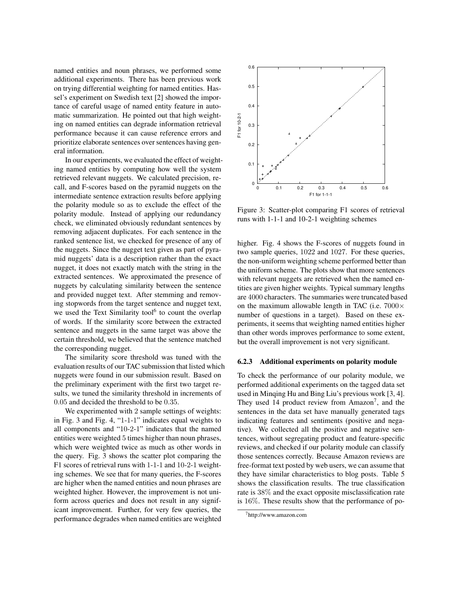named entities and noun phrases, we performed some additional experiments. There has been previous work on trying differential weighting for named entities. Hassel's experiment on Swedish text [2] showed the importance of careful usage of named entity feature in automatic summarization. He pointed out that high weighting on named entities can degrade information retrieval performance because it can cause reference errors and prioritize elaborate sentences over sentences having general information.

In our experiments, we evaluated the effect of weighting named entities by computing how well the system retrieved relevant nuggets. We calculated precision, recall, and F-scores based on the pyramid nuggets on the intermediate sentence extraction results before applying the polarity module so as to exclude the effect of the polarity module. Instead of applying our redundancy check, we eliminated obviously redundant sentences by removing adjacent duplicates. For each sentence in the ranked sentence list, we checked for presence of any of the nuggets. Since the nugget text given as part of pyramid nuggets' data is a description rather than the exact nugget, it does not exactly match with the string in the extracted sentences. We approximated the presence of nuggets by calculating similarity between the sentence and provided nugget text. After stemming and removing stopwords from the target sentence and nugget text, we used the Text Similarity tool<sup>6</sup> to count the overlap of words. If the similarity score between the extracted sentence and nuggets in the same target was above the certain threshold, we believed that the sentence matched the corresponding nugget.

The similarity score threshold was tuned with the evaluation results of our TAC submission that listed which nuggets were found in our submission result. Based on the preliminary experiment with the first two target results, we tuned the similarity threshold in increments of 0.05 and decided the threshold to be 0.35.

We experimented with 2 sample settings of weights: in Fig. 3 and Fig. 4, "1-1-1" indicates equal weights to all components and "10-2-1" indicates that the named entities were weighted 5 times higher than noun phrases, which were weighted twice as much as other words in the query. Fig. 3 shows the scatter plot comparing the F1 scores of retrieval runs with 1-1-1 and 10-2-1 weighting schemes. We see that for many queries, the F-scores are higher when the named entities and noun phrases are weighted higher. However, the improvement is not uniform across queries and does not result in any significant improvement. Further, for very few queries, the performance degrades when named entities are weighted



Figure 3: Scatter-plot comparing F1 scores of retrieval runs with 1-1-1 and 10-2-1 weighting schemes

higher. Fig. 4 shows the F-scores of nuggets found in two sample queries, 1022 and 1027. For these queries, the non-uniform weighting scheme performed better than the uniform scheme. The plots show that more sentences with relevant nuggets are retrieved when the named entities are given higher weights. Typical summary lengths are 4000 characters. The summaries were truncated based on the maximum allowable length in TAC (i.e.  $7000 \times$ number of questions in a target). Based on these experiments, it seems that weighting named entities higher than other words improves performance to some extent, but the overall improvement is not very significant.

#### 6.2.3 Additional experiments on polarity module

To check the performance of our polarity module, we performed additional experiments on the tagged data set used in Minqing Hu and Bing Liu's previous work [3, 4]. They used 14 product review from Amazon<sup>7</sup>, and the sentences in the data set have manually generated tags indicating features and sentiments (positive and negative). We collected all the positive and negative sentences, without segregating product and feature-specific reviews, and checked if our polarity module can classify those sentences correctly. Because Amazon reviews are free-format text posted by web users, we can assume that they have similar characteristics to blog posts. Table 5 shows the classification results. The true classification rate is 38% and the exact opposite misclassification rate is 16%. These results show that the performance of po-

<sup>7</sup>http://www.amazon.com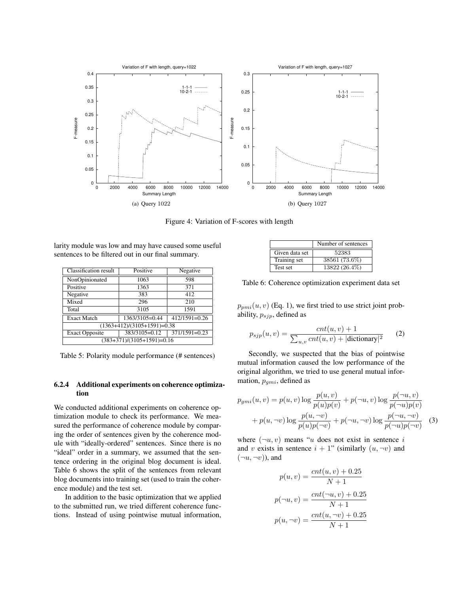

Figure 4: Variation of F-scores with length

larity module was low and may have caused some useful sentences to be filtered out in our final summary.

| <b>Classification result</b>                            | Positive      | Negative        |  |
|---------------------------------------------------------|---------------|-----------------|--|
| NonOpinionated                                          | 1063          | 598             |  |
| Positive                                                | 1363          | 371             |  |
| Negative                                                | 383           | 412             |  |
| Mixed                                                   | 296           | 210             |  |
| Total                                                   | 3105          | 1591            |  |
| $412/1591=0.26$<br>1363/3105=0.44<br><b>Exact Match</b> |               |                 |  |
| $(1363+412)/(3105+1591)=0.38$                           |               |                 |  |
| <b>Exact Opposite</b>                                   | 383/3105=0.12 | $371/1591=0.23$ |  |
| $(383+371)/(3105+1591)=0.16$                            |               |                 |  |

Table 5: Polarity module performance (# sentences)

#### 6.2.4 Additional experiments on coherence optimization

We conducted additional experiments on coherence optimization module to check its performance. We measured the performance of coherence module by comparing the order of sentences given by the coherence module with "ideally-ordered" sentences. Since there is no "ideal" order in a summary, we assumed that the sentence ordering in the original blog document is ideal. Table 6 shows the split of the sentences from relevant blog documents into training set (used to train the coherence module) and the test set.

In addition to the basic optimization that we applied to the submitted run, we tried different coherence functions. Instead of using pointwise mutual information,

|                | Number of sentences |
|----------------|---------------------|
| Given data set | 52383               |
| Training set   | 38561 (73.6%)       |
| Test set       | $13822(26.4\%)$     |

Table 6: Coherence optimization experiment data set

 $p_{pmi}(u, v)$  (Eq. 1), we first tried to use strict joint probability,  $p_{sjp}$ , defined as

$$
p_{sjp}(u,v) = \frac{cnt(u,v) + 1}{\sum_{u,v} cnt(u,v) + |\text{dictionary}|^2}
$$
 (2)

Secondly, we suspected that the bias of pointwise mutual information caused the low performance of the original algorithm, we tried to use general mutual information,  $p_{qmi}$ , defined as

$$
p_{gmi}(u, v) = p(u, v) \log \frac{p(u, v)}{p(u)p(v)} + p(\neg u, v) \log \frac{p(\neg u, v)}{p(\neg u)p(v)} + p(u, \neg v) \log \frac{p(u, \neg v)}{p(u)p(\neg v)} + p(\neg u, \neg v) \log \frac{p(\neg u, \neg v)}{p(\neg u)p(\neg v)}
$$
(3)

where  $(\neg u, v)$  means "u does not exist in sentence i and v exists in sentence  $i + 1$ " (similarly  $(u, \neg v)$  and  $(\neg u, \neg v)$ ), and

$$
p(u, v) = \frac{cnt(u, v) + 0.25}{N + 1}
$$

$$
p(\neg u, v) = \frac{cnt(\neg u, v) + 0.25}{N + 1}
$$

$$
p(u, \neg v) = \frac{cnt(u, \neg v) + 0.25}{N + 1}
$$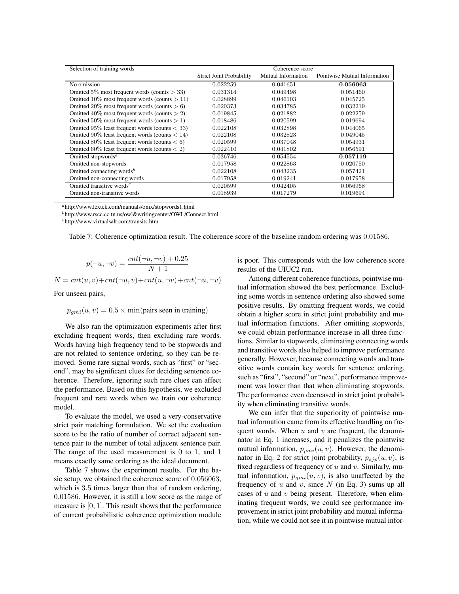| Selection of training words                                    |                                 | Coherence score    |                              |
|----------------------------------------------------------------|---------------------------------|--------------------|------------------------------|
|                                                                | <b>Strict Joint Probability</b> | Mutual Information | Pointwise Mutual Information |
| No omission                                                    | 0.022259                        | 0.041651           | 0.056063                     |
| Omitted 5% most frequent words (counts $>$ 33)                 | 0.031314                        | 0.049498           | 0.051460                     |
| Omitted 10\% most frequent words (counts $> 11$ )              | 0.028899                        | 0.046103           | 0.045725                     |
| Omitted 20% most frequent words (counts $> 6$ )                | 0.020373                        | 0.034785           | 0.032219                     |
| Omitted $40\%$ most frequent words (counts $> 2$ )             | 0.019845                        | 0.021882           | 0.022259                     |
| Omitted 50% most frequent words (counts $> 1$ )                | 0.018486                        | 0.020599           | 0.019694                     |
| Omitted $95\%$ least frequent words (counts $<$ 33)            | 0.022108                        | 0.032898           | 0.044065                     |
| Omitted 90% least frequent words (counts $< 14$ )              | 0.022108                        | 0.032823           | 0.049045                     |
| Omitted 80% least frequent words (counts $<$ 6)                | 0.020599                        | 0.037048           | 0.054931                     |
| Omitted 60% least frequent words (counts $\langle 2 \rangle$ ) | 0.022410                        | 0.041802           | 0.056591                     |
| Omitted stopwords <sup>a</sup>                                 | 0.036746                        | 0.054554           | 0.057119                     |
| Omitted non-stopwords                                          | 0.017958                        | 0.022863           | 0.020750                     |
| Omitted connecting words <sup>b</sup>                          | 0.022108                        | 0.043235           | 0.057421                     |
| Omitted non-connecting words                                   | 0.017958                        | 0.019241           | 0.017958                     |
| Omitted transitive words <sup><math>c</math></sup>             | 0.020599                        | 0.042405           | 0.056968                     |
| Omitted non-transitive words                                   | 0.018939                        | 0.017279           | 0.019694                     |

*<sup>a</sup>*http://www.lextek.com/manuals/onix/stopwords1.html

*<sup>b</sup>*http://www.rscc.cc.tn.us/owl&writingcenter/OWL/Connect.html

*<sup>c</sup>*http://www.virtualsalt.com/transits.htm

| Table 7: Coherence optimization result. The coherence score of the baseline random ordering was 0.01586. |
|----------------------------------------------------------------------------------------------------------|
|----------------------------------------------------------------------------------------------------------|

$$
p(\neg u, \neg v) = \frac{cnt(\neg u, \neg v) + 0.25}{N + 1}
$$

 $N = cnt(u, v) + cnt(\neg u, v) + cnt(u, \neg v) + cnt(\neg u, \neg v)$ 

For unseen pairs,

 $p_{qmi}(u, v) = 0.5 \times min(pairs seen in training)$ 

We also ran the optimization experiments after first excluding frequent words, then excluding rare words. Words having high frequency tend to be stopwords and are not related to sentence ordering, so they can be removed. Some rare signal words, such as "first" or "second", may be significant clues for deciding sentence coherence. Therefore, ignoring such rare clues can affect the performance. Based on this hypothesis, we excluded frequent and rare words when we train our coherence model.

To evaluate the model, we used a very-conservative strict pair matching formulation. We set the evaluation score to be the ratio of number of correct adjacent sentence pair to the number of total adjacent sentence pair. The range of the used measurement is 0 to 1, and 1 means exactly same ordering as the ideal document.

Table 7 shows the experiment results. For the basic setup, we obtained the coherence score of 0.056063, which is 3.5 times larger than that of random ordering, 0.01586. However, it is still a low score as the range of measure is [0, 1]. This result shows that the performance of current probabilistic coherence optimization module is poor. This corresponds with the low coherence score results of the UIUC2 run.

Among different coherence functions, pointwise mutual information showed the best performance. Excluding some words in sentence ordering also showed some positive results. By omitting frequent words, we could obtain a higher score in strict joint probability and mutual information functions. After omitting stopwords, we could obtain performance increase in all three functions. Similar to stopwords, eliminating connecting words and transitive words also helped to improve performance generally. However, because connecting words and transitive words contain key words for sentence ordering, such as "first", "second" or "next", performance improvement was lower than that when eliminating stopwords. The performance even decreased in strict joint probability when eliminating transitive words.

We can infer that the superiority of pointwise mutual information came from its effective handling on frequent words. When  $u$  and  $v$  are frequent, the denominator in Eq. 1 increases, and it penalizes the pointwise mutual information,  $p_{pmi}(u, v)$ . However, the denominator in Eq. 2 for strict joint probability,  $p_{sjp}(u, v)$ , is fixed regardless of frequency of  $u$  and  $v$ . Similarly, mutual information,  $p_{qmi}(u, v)$ , is also unaffected by the frequency of u and v, since  $N$  (in Eq. 3) sums up all cases of  $u$  and  $v$  being present. Therefore, when eliminating frequent words, we could see performance improvement in strict joint probability and mutual information, while we could not see it in pointwise mutual infor-